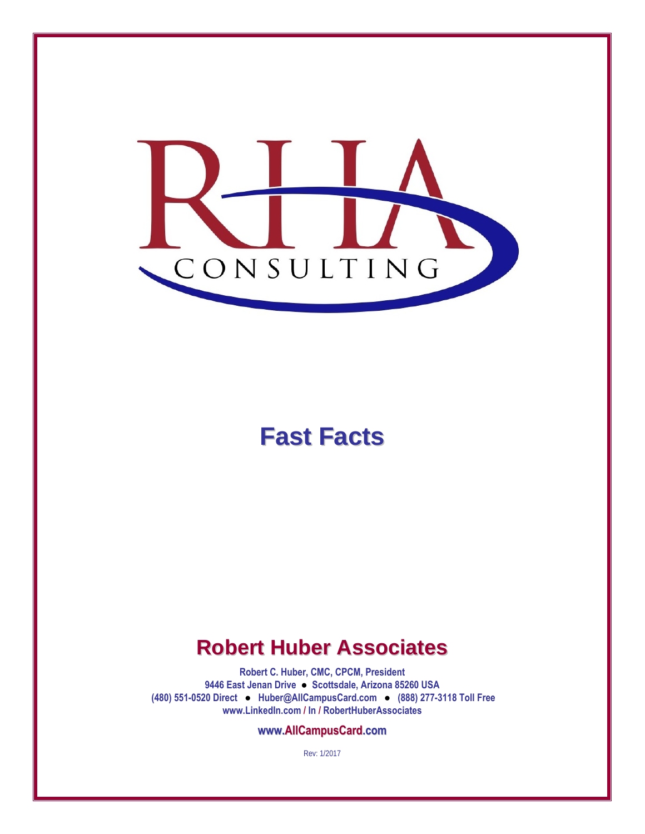

# **Fast Facts**

### **Robert Huber Associates**

**Robert C. Huber, CMC, CPCM, President 9446 East Jenan Drive ● Scottsdale, Arizona 85260 USA (480) 551-0520 Direct ● Huber@AllCampusCard.com ● (888) 277-3118 Toll Free www.LinkedIn.com / In / RobertHuberAssociates** 

**www.AllCampusCard.com**

Rev: 1/2017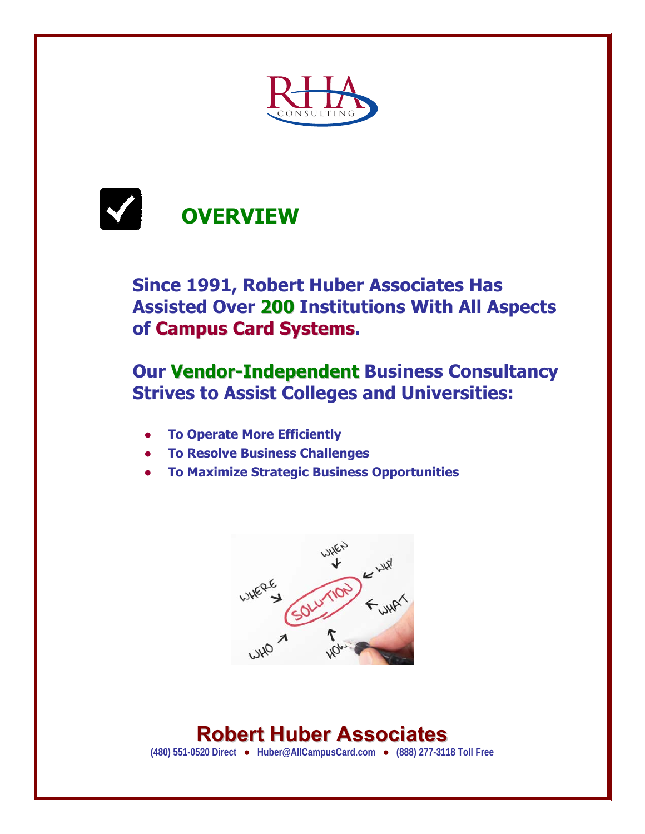



#### **Since 1991, Robert Huber Associates Has Assisted Over 200 Institutions With All Aspects of Campus Card Systems.**

#### **Our Vendor-Independent Business Consultancy Strives to Assist Colleges and Universities:**

- **● To Operate More Efficiently**
- **● To Resolve Business Challenges**
- **● To Maximize Strategic Business Opportunities**



# **Robert Huber Associates**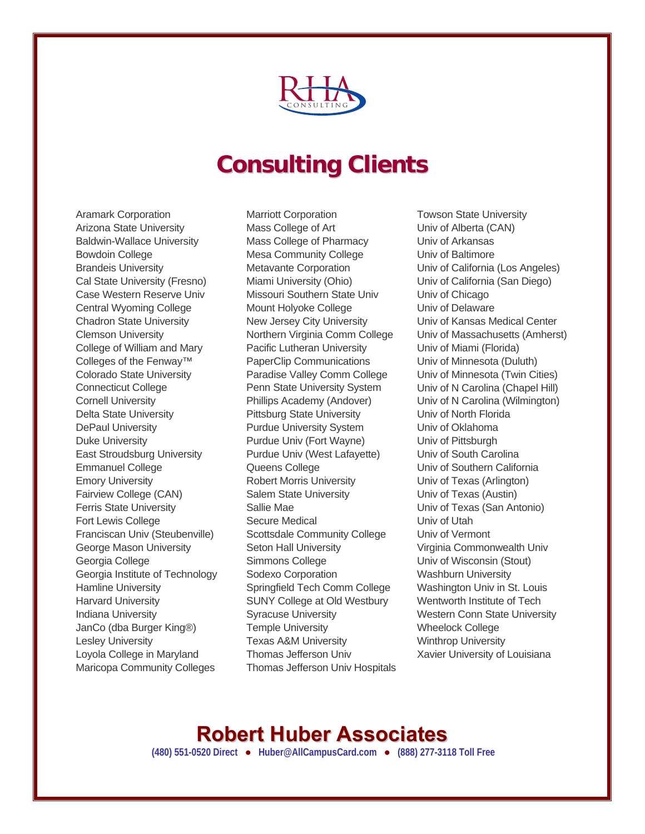

# **Consulting Clients**

Aramark Corporation Arizona State University Baldwin-Wallace University Bowdoin College Brandeis University Cal State University (Fresno) Case Western Reserve Univ Central Wyoming College Chadron State University Clemson University College of William and Mary Colleges of the Fenway™ Colorado State University Connecticut College Cornell University Delta State University DePaul University Duke University East Stroudsburg University Emmanuel College Emory University Fairview College (CAN) Ferris State University Fort Lewis College Franciscan Univ (Steubenville) George Mason University Georgia College Georgia Institute of Technology Hamline University Harvard University Indiana University JanCo (dba Burger King®) Lesley University Loyola College in Maryland Maricopa Community Colleges

Marriott Corporation Mass College of Art Mass College of Pharmacy Mesa Community College Metavante Corporation Miami University (Ohio) Missouri Southern State Univ Mount Holyoke College New Jersey City University Northern Virginia Comm College Pacific Lutheran University PaperClip Communications Paradise Valley Comm College Penn State University System Phillips Academy (Andover) Pittsburg State University Purdue University System Purdue Univ (Fort Wayne) Purdue Univ (West Lafayette) Queens College Robert Morris University Salem State University Sallie Mae Secure Medical Scottsdale Community College Seton Hall University Simmons College Sodexo Corporation Springfield Tech Comm College SUNY College at Old Westbury Syracuse University Temple University Texas A&M University Thomas Jefferson Univ Thomas Jefferson Univ Hospitals Towson State University Univ of Alberta (CAN) Univ of Arkansas Univ of Baltimore Univ of California (Los Angeles) Univ of California (San Diego) Univ of Chicago Univ of Delaware Univ of Kansas Medical Center Univ of Massachusetts (Amherst) Univ of Miami (Florida) Univ of Minnesota (Duluth) Univ of Minnesota (Twin Cities) Univ of N Carolina (Chapel Hill) Univ of N Carolina (Wilmington) Univ of North Florida Univ of Oklahoma Univ of Pittsburgh Univ of South Carolina Univ of Southern California Univ of Texas (Arlington) Univ of Texas (Austin) Univ of Texas (San Antonio) Univ of Utah Univ of Vermont Virginia Commonwealth Univ Univ of Wisconsin (Stout) Washburn University Washington Univ in St. Louis Wentworth Institute of Tech Western Conn State University Wheelock College Winthrop University Xavier University of Louisiana

#### **Robert Huber Associates**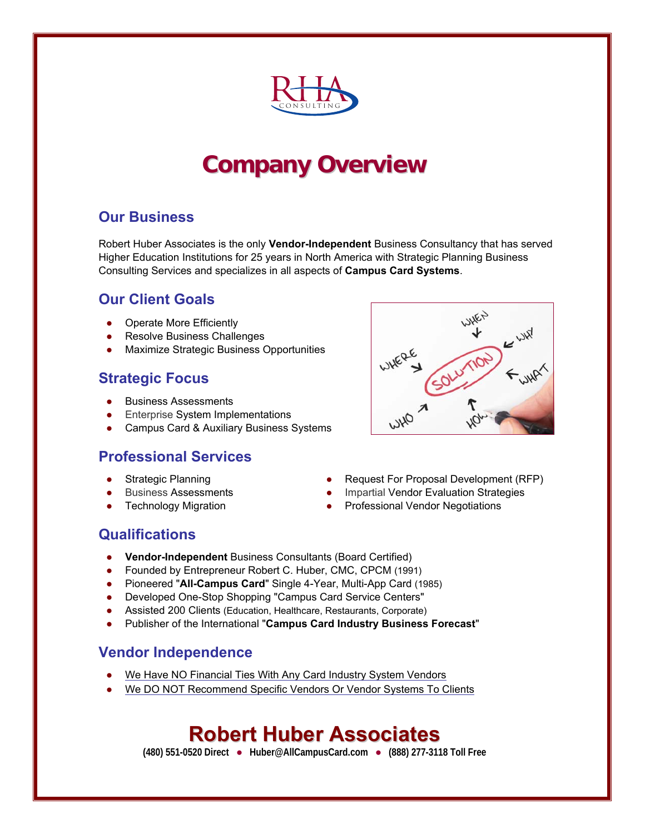

# **Company Overview**

#### **Our Business**

Robert Huber Associates is the only **Vendor-Independent** Business Consultancy that has served Higher Education Institutions for 25 years in North America with Strategic Planning Business Consulting Services and specializes in all aspects of **Campus Card Systems**.

#### **Our Client Goals**

- **Operate More Efficiently**
- **Resolve Business Challenges**
- **Maximize Strategic Business Opportunities**

#### **Strategic Focus**

- **Business Assessments**
- **Enterprise System Implementations**
- Campus Card & Auxiliary Business Systems

#### **Professional Services**

- 
- 
- 
- Strategic Planning **and Strategic Planning Company •** Request For Proposal Development (RFP)
- Business Assessments **All and Accept Assessments •** Impartial Vendor Evaluation Strategies
- Technology Migration 
Professional Vendor Negotiations
Professional Vendor Negotiations

#### **Qualifications**

- **Vendor-Independent** Business Consultants (Board Certified)
- Founded by Entrepreneur Robert C. Huber, CMC, CPCM (1991)
- Pioneered "**All-Campus Card**" Single 4-Year, Multi-App Card (1985)
- Developed One-Stop Shopping "Campus Card Service Centers"
- Assisted 200 Clients (Education, Healthcare, Restaurants, Corporate)
- Publisher of the International "**Campus Card Industry Business Forecast**"

#### **Vendor Independence**

- We Have NO Financial Ties With Any Card Industry System Vendors
- We DO NOT Recommend Specific Vendors Or Vendor Systems To Clients

#### **Robert Huber Associates**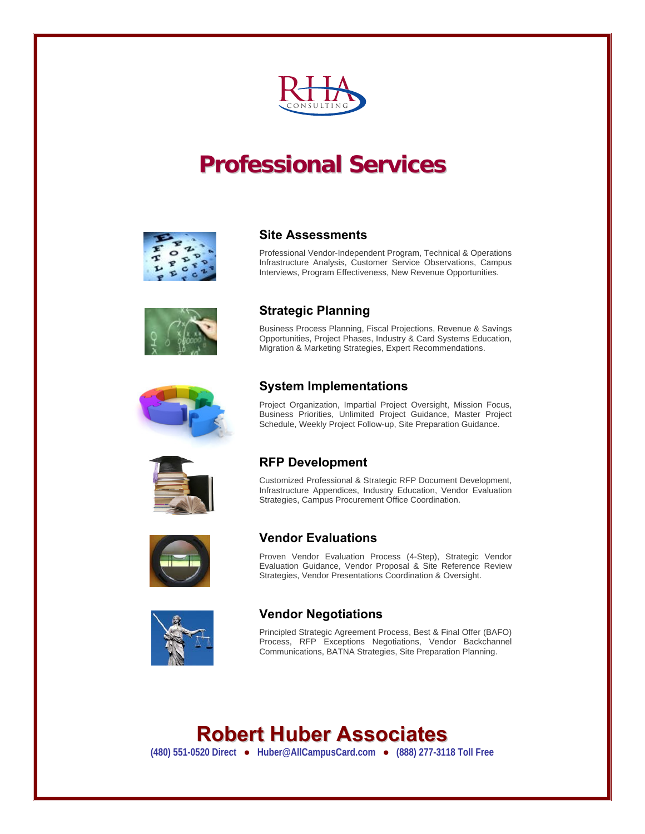

# **Professional Services**



#### **Site Assessments**

Professional Vendor-Independent Program, Technical & Operations Infrastructure Analysis, Customer Service Observations, Campus Interviews, Program Effectiveness, New Revenue Opportunities.



#### **Strategic Planning**

Business Process Planning, Fiscal Projections, Revenue & Savings Opportunities, Project Phases, Industry & Card Systems Education, Migration & Marketing Strategies, Expert Recommendations.



#### **System Implementations**

Project Organization, Impartial Project Oversight, Mission Focus, Business Priorities, Unlimited Project Guidance, Master Project Schedule, Weekly Project Follow-up, Site Preparation Guidance.



#### **RFP Development**

Customized Professional & Strategic RFP Document Development, Infrastructure Appendices, Industry Education, Vendor Evaluation Strategies, Campus Procurement Office Coordination.



#### **Vendor Evaluations**

Proven Vendor Evaluation Process (4-Step), Strategic Vendor Evaluation Guidance, Vendor Proposal & Site Reference Review Strategies, Vendor Presentations Coordination & Oversight.



#### **Vendor Negotiations**

Principled Strategic Agreement Process, Best & Final Offer (BAFO) Process, RFP Exceptions Negotiations, Vendor Backchannel Communications, BATNA Strategies, Site Preparation Planning.

### **R Robert Huber Associates**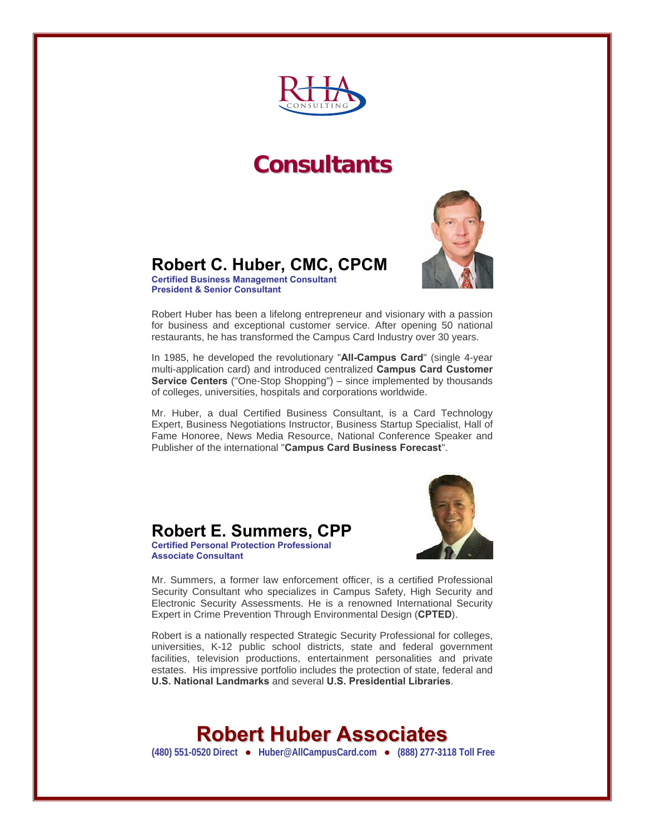

### **Consultants**



#### **Robert C. Huber, CMC, CPCM**

**Certified Business Management Consultant President & Senior Consultant** 

Robert Huber has been a lifelong entrepreneur and visionary with a passion for business and exceptional customer service. After opening 50 national restaurants, he has transformed the Campus Card Industry over 30 years.

In 1985, he developed the revolutionary "**All-Campus Card**" (single 4-year multi-application card) and introduced centralized **Campus Card Customer Service Centers** ("One-Stop Shopping") – since implemented by thousands of colleges, universities, hospitals and corporations worldwide.

Mr. Huber, a dual Certified Business Consultant, is a Card Technology Expert, Business Negotiations Instructor, Business Startup Specialist, Hall of Fame Honoree, News Media Resource, National Conference Speaker and Publisher of the international "**Campus Card Business Forecast**".







Mr. Summers, a former law enforcement officer, is a certified Professional Security Consultant who specializes in Campus Safety, High Security and Electronic Security Assessments. He is a renowned International Security Expert in Crime Prevention Through Environmental Design (**CPTED**).

Robert is a nationally respected Strategic Security Professional for colleges, universities, K-12 public school districts, state and federal government facilities, television productions, entertainment personalities and private estates. His impressive portfolio includes the protection of state, federal and **U.S. National Landmarks** and several **U.S. Presidential Libraries**.

### **Robert Huber Associates**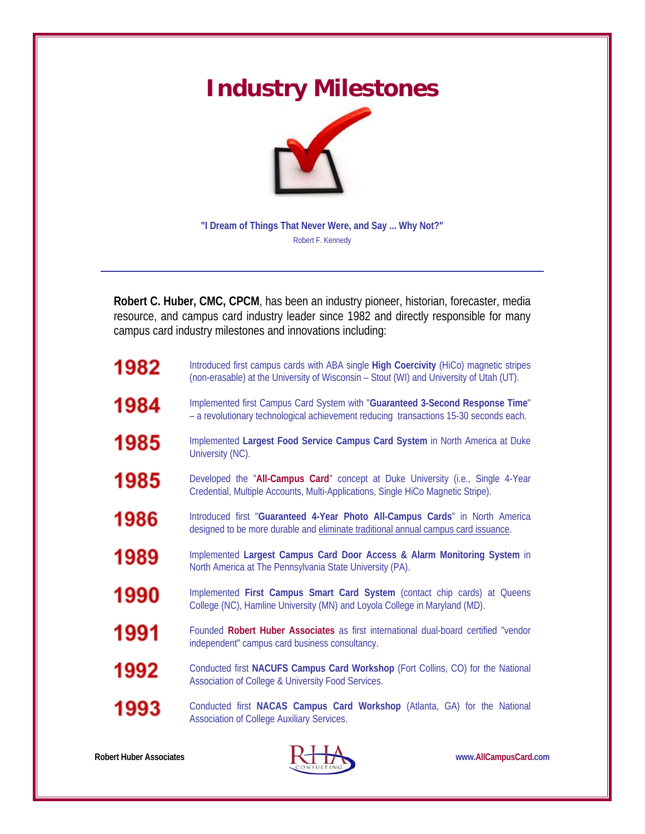# **Industry Milestones**



**"I Dream of Things That Never Were, and Say ... Why Not?"**  Robert F. Kennedy

**Robert C. Huber, CMC, CPCM**, has been an industry pioneer, historian, forecaster, media resource, and campus card industry leader since 1982 and directly responsible for many campus card industry milestones and innovations including:

| 1982 | Introduced first campus cards with ABA single High Coercivity (HiCo) magnetic stripes<br>(non-erasable) at the University of Wisconsin - Stout (WI) and University of Utah (UT). |
|------|----------------------------------------------------------------------------------------------------------------------------------------------------------------------------------|
| 1984 | Implemented first Campus Card System with "Guaranteed 3-Second Response Time"<br>- a revolutionary technological achievement reducing transactions 15-30 seconds each.           |
| 1985 | Implemented Largest Food Service Campus Card System in North America at Duke<br>University (NC).                                                                                 |
| 1985 | Developed the "All-Campus Card" concept at Duke University (i.e., Single 4-Year<br>Credential, Multiple Accounts, Multi-Applications, Single HiCo Magnetic Stripe).              |
| 1986 | Introduced first "Guaranteed 4-Year Photo All-Campus Cards" in North America<br>designed to be more durable and eliminate traditional annual campus card issuance.               |
| 1989 | Implemented Largest Campus Card Door Access & Alarm Monitoring System in<br>North America at The Pennsylvania State University (PA).                                             |
| 1990 | Implemented First Campus Smart Card System (contact chip cards) at Queens<br>College (NC), Hamline University (MN) and Loyola College in Maryland (MD).                          |
| 1991 | Founded Robert Huber Associates as first international dual-board certified "vendor<br>independent" campus card business consultancy.                                            |
| 1992 | Conducted first NACUFS Campus Card Workshop (Fort Collins, CO) for the National<br>Association of College & University Food Services.                                            |
| 1993 | Conducted first NACAS Campus Card Workshop (Atlanta, GA) for the National<br>Association of College Auxiliary Services.                                                          |



Robert Huber Associates **WALLOCAL COMPUTER WWW.AllCampusCard.com**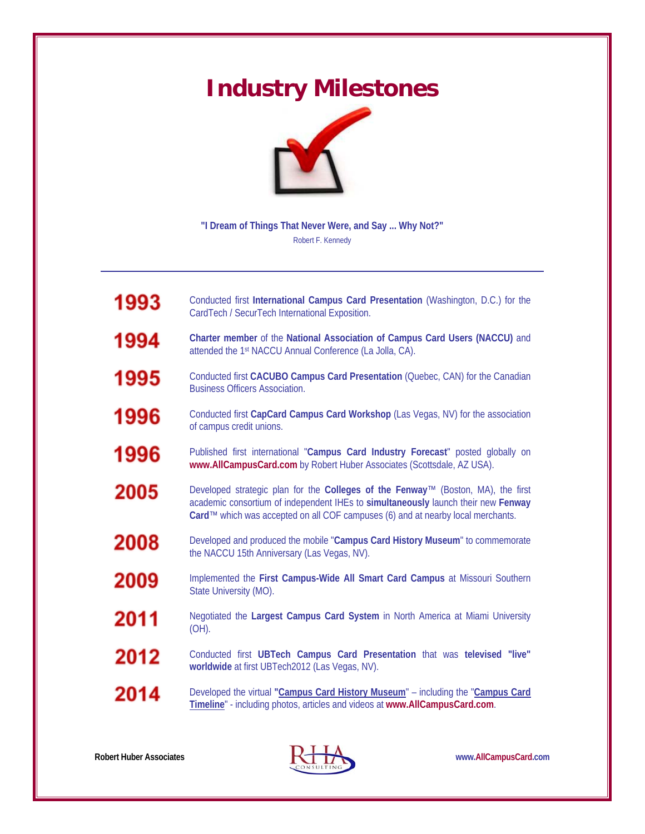# **Industry Milestones**



**"I Dream of Things That Never Were, and Say ... Why Not?"**  Robert F. Kennedy

| 1993 | Conducted first International Campus Card Presentation (Washington, D.C.) for the<br>CardTech / SecurTech International Exposition.                                                                                                                      |
|------|----------------------------------------------------------------------------------------------------------------------------------------------------------------------------------------------------------------------------------------------------------|
| 1994 | Charter member of the National Association of Campus Card Users (NACCU) and<br>attended the 1st NACCU Annual Conference (La Jolla, CA).                                                                                                                  |
| 1995 | Conducted first CACUBO Campus Card Presentation (Quebec, CAN) for the Canadian<br><b>Business Officers Association.</b>                                                                                                                                  |
| 1996 | Conducted first CapCard Campus Card Workshop (Las Vegas, NV) for the association<br>of campus credit unions.                                                                                                                                             |
| 1996 | Published first international "Campus Card Industry Forecast" posted globally on<br>www.AllCampusCard.com by Robert Huber Associates (Scottsdale, AZ USA).                                                                                               |
| 2005 | Developed strategic plan for the Colleges of the Fenway™ (Boston, MA), the first<br>academic consortium of independent IHEs to simultaneously launch their new Fenway<br>Card™ which was accepted on all COF campuses (6) and at nearby local merchants. |
| 2008 | Developed and produced the mobile "Campus Card History Museum" to commemorate<br>the NACCU 15th Anniversary (Las Vegas, NV).                                                                                                                             |
| 2009 | Implemented the First Campus-Wide All Smart Card Campus at Missouri Southern<br>State University (MO).                                                                                                                                                   |
| 2011 | Negotiated the Largest Campus Card System in North America at Miami University<br>$(OH)$ .                                                                                                                                                               |
| 2012 | Conducted first UBTech Campus Card Presentation that was televised "live"<br>worldwide at first UBTech2012 (Las Vegas, NV).                                                                                                                              |
| 2014 | Developed the virtual "Campus Card History Museum" - including the "Campus Card<br>Timeline" - including photos, articles and videos at www.AllCampusCard.com.                                                                                           |



Robert Huber Associates **WALLOCAL COMPUTER WWW.AllCampusCard.com**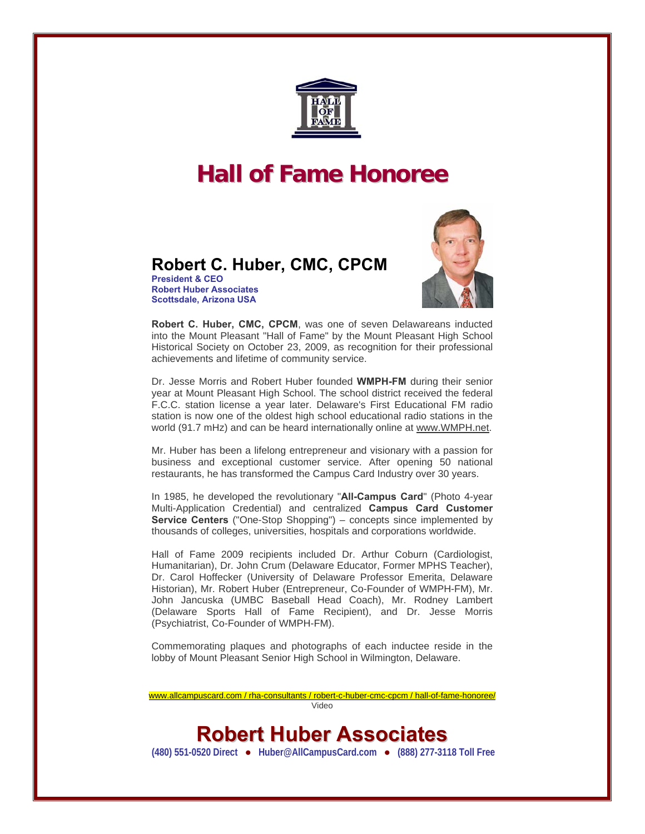

# **Hall of Fame Honoree**

#### **Robert C. Huber, CMC, CPCM**

**President & CEO Robert Huber Associates Scottsdale, Arizona USA** 



**Robert C. Huber, CMC, CPCM**, was one of seven Delawareans inducted into the Mount Pleasant "Hall of Fame" by the Mount Pleasant High School Historical Society on October 23, 2009, as recognition for their professional achievements and lifetime of community service.

Dr. Jesse Morris and Robert Huber founded **WMPH-FM** during their senior year at Mount Pleasant High School. The school district received the federal F.C.C. station license a year later. Delaware's First Educational FM radio station is now one of the oldest high school educational radio stations in the world (91.7 mHz) and can be heard internationally online at [www.WMPH.net](http://www.wmph.net/).

Mr. Huber has been a lifelong entrepreneur and visionary with a passion for business and exceptional customer service. After opening 50 national restaurants, he has transformed the Campus Card Industry over 30 years.

In 1985, he developed the revolutionary "**All-Campus Card**" (Photo 4-year Multi-Application Credential) and centralized **Campus Card Customer Service Centers** ("One-Stop Shopping") – concepts since implemented by thousands of colleges, universities, hospitals and corporations worldwide.

Hall of Fame 2009 recipients included Dr. Arthur Coburn (Cardiologist, Humanitarian), Dr. John Crum (Delaware Educator, Former MPHS Teacher), Dr. Carol Hoffecker (University of Delaware Professor Emerita, Delaware Historian), Mr. Robert Huber (Entrepreneur, Co-Founder of WMPH-FM), Mr. John Jancuska (UMBC Baseball Head Coach), Mr. Rodney Lambert (Delaware Sports Hall of Fame Recipient), and Dr. Jesse Morris (Psychiatrist, Co-Founder of WMPH-FM).

Commemorating plaques and photographs of each inductee reside in the lobby of Mount Pleasant Senior High School in Wilmington, Delaware.

www.allcampuscard.com / rha-consultants / robert-c-huber-cmc-cpcm / hall-of-fame-honoree/ Video

#### **Robert Huber Associates**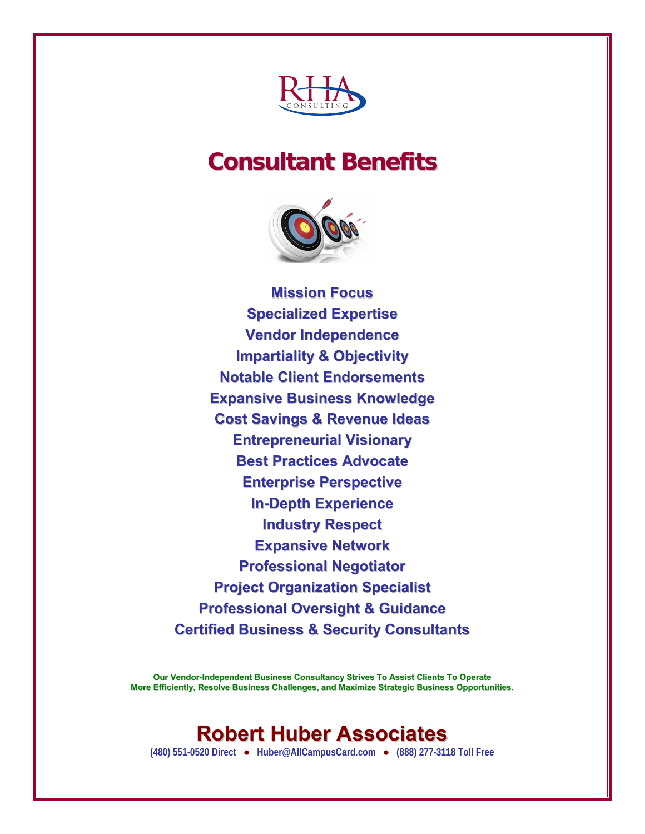

# **Consultant Benefits**



**Mission Focus Specialized Expertise Vendor Independence Impartiality & Objectivity Notable Client Endorsements Expansive Business Knowledge Cost Savings & Revenue Ideas Entrepreneurial Visionary Best Practices Advocate Enterprise Perspective In-Depth Experience Industry Respect Expansive Network Professional Negotiator Project Organization Specialist Professional Oversight & Guidance Certified Business & Security Consultants**

**Our Vendor-Independent Business Consultancy Strives To Assist Clients To Operate More Efficiently, Resolve Business Challenges, and Maximize Strategic Business Opportunities.**

### **Robert Huber Associates**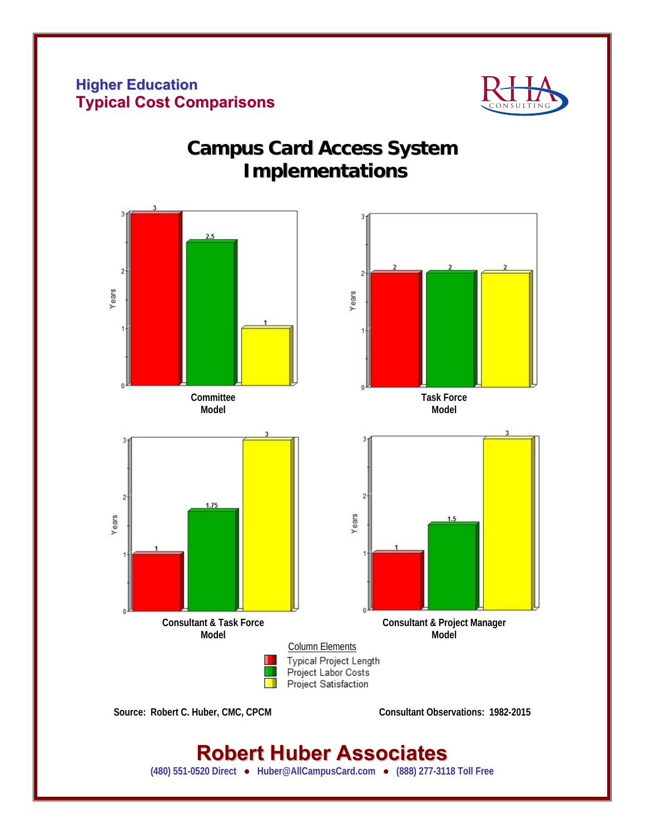#### **Higher Education Typical Cost Comparisons**



#### **Campus Card Access System Implementations**



### **Robert Huber Associates**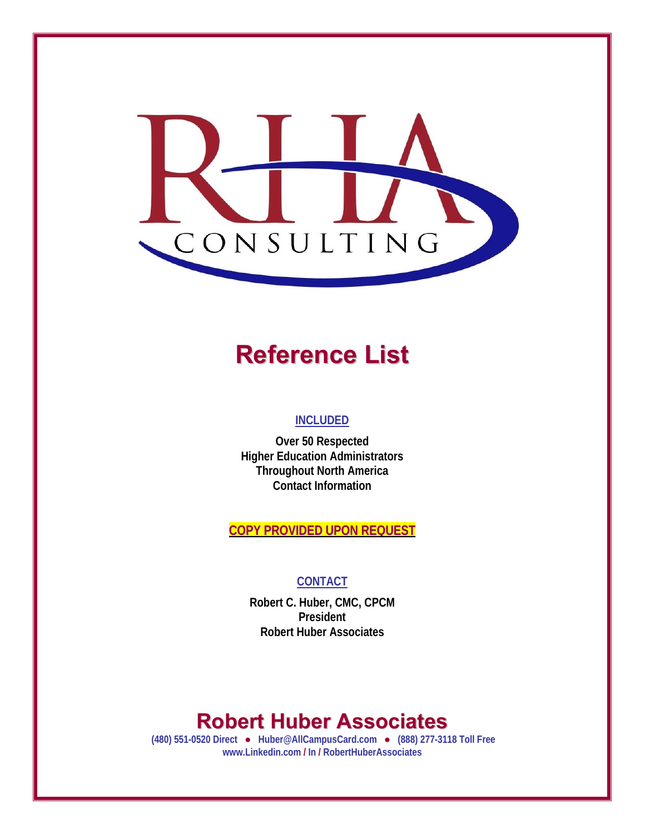

# **Reference List**

#### **INCLUDED**

**Over 50 Respected Higher Education Administrators Throughout North America Contact Information** 

**COPY PROVIDED UPON REQUEST**

#### **CONTACT**

**Robert C. Huber, CMC, CPCM President Robert Huber Associates** 

### **Robert Huber Associates**

 **(480) 551-0520 Direct ● Huber@AllCampusCard.com ● (888) 277-3118 Toll Free www.Linkedin.com / In / RobertHuberAssociates**